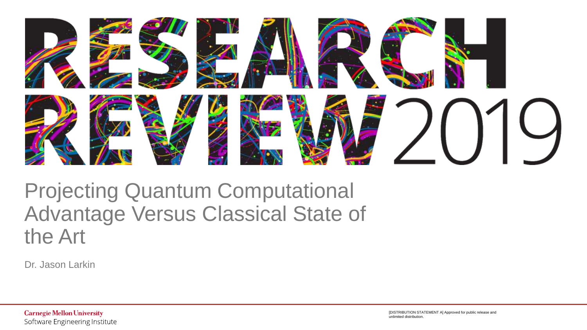

### Projecting Quantum Computational Advantage Versus Classical State of the Art

Dr. Jason Larkin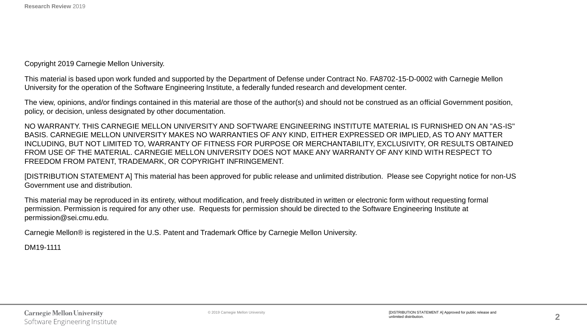Copyright 2019 Carnegie Mellon University.

This material is based upon work funded and supported by the Department of Defense under Contract No. FA8702-15-D-0002 with Carnegie Mellon University for the operation of the Software Engineering Institute, a federally funded research and development center.

The view, opinions, and/or findings contained in this material are those of the author(s) and should not be construed as an official Government position, policy, or decision, unless designated by other documentation.

NO WARRANTY. THIS CARNEGIE MELLON UNIVERSITY AND SOFTWARE ENGINEERING INSTITUTE MATERIAL IS FURNISHED ON AN "AS-IS" BASIS. CARNEGIE MELLON UNIVERSITY MAKES NO WARRANTIES OF ANY KIND, EITHER EXPRESSED OR IMPLIED, AS TO ANY MATTER INCLUDING, BUT NOT LIMITED TO, WARRANTY OF FITNESS FOR PURPOSE OR MERCHANTABILITY, EXCLUSIVITY, OR RESULTS OBTAINED FROM USE OF THE MATERIAL. CARNEGIE MELLON UNIVERSITY DOES NOT MAKE ANY WARRANTY OF ANY KIND WITH RESPECT TO FREEDOM FROM PATENT, TRADEMARK, OR COPYRIGHT INFRINGEMENT.

[DISTRIBUTION STATEMENT A] This material has been approved for public release and unlimited distribution. Please see Copyright notice for non-US Government use and distribution.

This material may be reproduced in its entirety, without modification, and freely distributed in written or electronic form without requesting formal permission. Permission is required for any other use. Requests for permission should be directed to the Software Engineering Institute at permission@sei.cmu.edu.

Carnegie Mellon® is registered in the U.S. Patent and Trademark Office by Carnegie Mellon University.

DM19-1111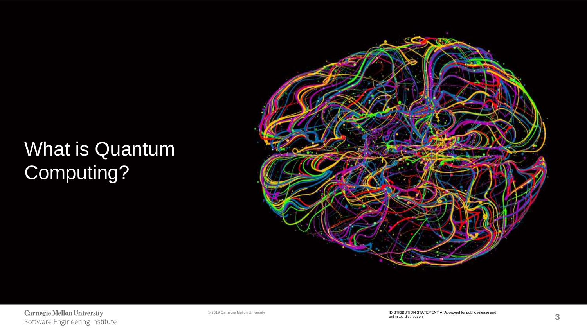### What is Quantum Computing?



**Carnegie Mellon University** Software Engineering Institute

© 2019 Carnegie Mellon University [DISTRIBUTION STATEMENT A] Approved for public release and unlimited distribution.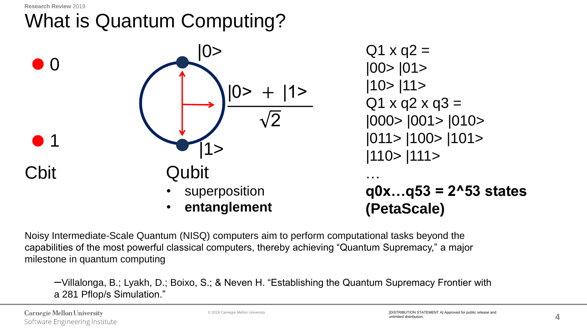# What is Quantum Computing?



 $Q1 \times q2 =$ |00> |01> |10> |11>  $Q1 \times Q2 \times Q3 =$ |000> |001> |010> |011> |100> |101> |110> |111> …

**q0x…q53 = 2^53 states (PetaScale)**

Noisy Intermediate-Scale Quantum (NISQ) computers aim to perform computational tasks beyond the capabilities of the most powerful classical computers, thereby achieving "Quantum Supremacy," a major milestone in quantum computing

ꟷVillalonga, B.; Lyakh, D.; Boixo, S.; & Neven H. "Establishing the Quantum Supremacy Frontier with a 281 Pflop/s Simulation."

**Carnegie Mellon University** Software Engineering Institute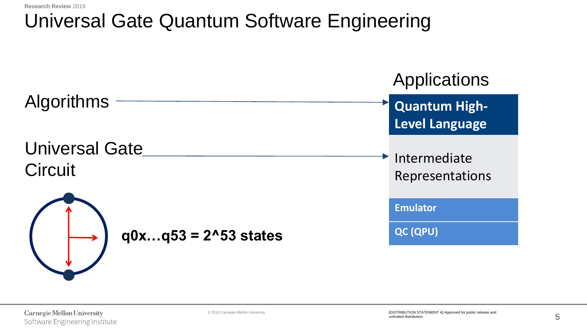### Universal Gate Quantum Software Engineering

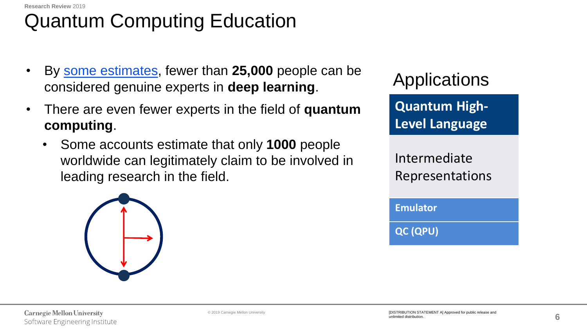## Quantum Computing Education

- By [some estimates](https://www.nytimes.com/2018/04/19/technology/artificial-intelligence-salaries-openai.html?module=inline), fewer than **25,000** people can be considered genuine experts in **deep learning**.
- There are even fewer experts in the field of **quantum computing**.
	- Some accounts estimate that only **1000** people worldwide can legitimately claim to be involved in leading research in the field.



Applications

**Quantum High-Level Language**

Intermediate Representations

**Emulator**

**QC (QPU)**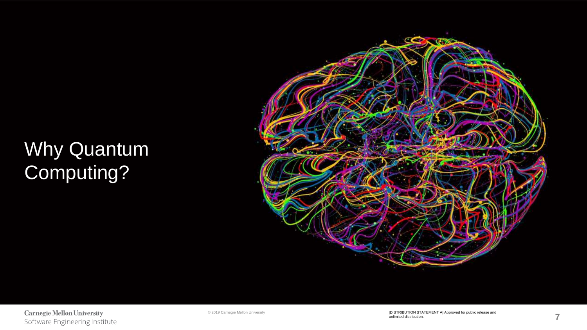### Why Quantum Computing?



**Carnegie Mellon University** Software Engineering Institute

© 2019 Carnegie Mellon University [DISTRIBUTION STATEMENT A] Approved for public release and unlimited distribution.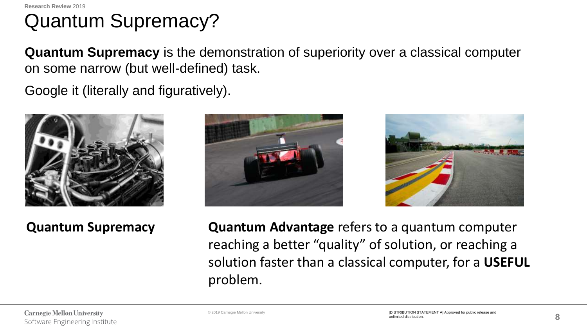### Quantum Supremacy?

**Quantum Supremacy** is the demonstration of superiority over a classical computer on some narrow (but well-defined) task.

Google it (literally and figuratively).



**Quantum Supremacy**





**Quantum Advantage** refers to a quantum computer reaching a better "quality" of solution, or reaching a solution faster than a classical computer, for a **USEFUL** problem.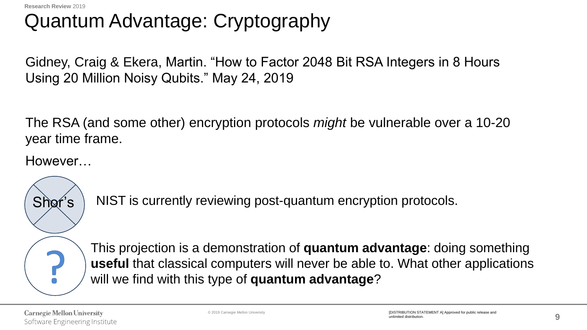### Quantum Advantage: Cryptography

Gidney, Craig & Ekera, Martin. "How to Factor 2048 Bit RSA Integers in 8 Hours Using 20 Million Noisy Qubits." May 24, 2019

The RSA (and some other) encryption protocols *might* be vulnerable over a 10-20 year time frame.

However…

Shor's

NIST is currently reviewing post-quantum encryption protocols.

This projection is a demonstration of **quantum advantage**: doing something **useful** that classical computers will never be able to. What other applications will we find with this type of **quantum advantage**?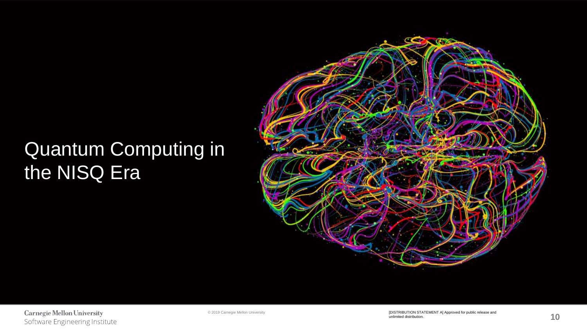### Quantum Computing in the NISQ Era



**Carnegie Mellon University** Software Engineering Institute

© 2019 Carnegie Mellon University [DISTRIBUTION STATEMENT A] Approved for public release and unlimited distribution.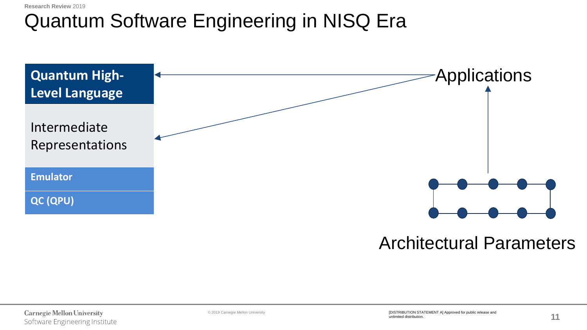### Quantum Software Engineering in NISQ Era



### Architectural Parameters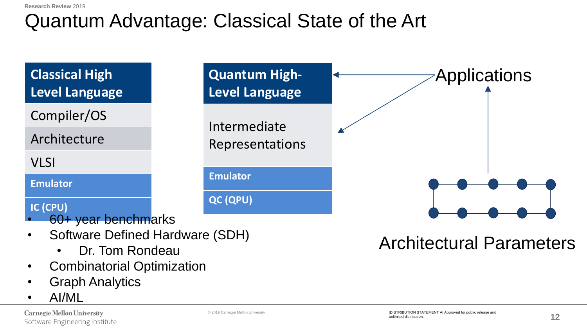### Quantum Advantage: Classical State of the Art



- 
- Graph Analytics
- AI/ML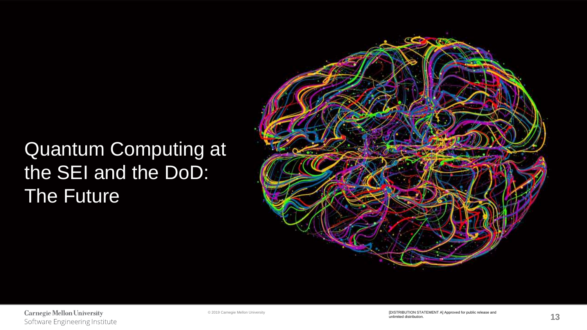### Quantum Computing at the SEI and the DoD: The Future

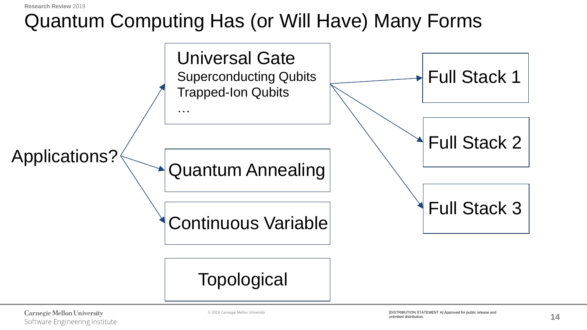**Research Review** 2019

### Quantum Computing Has (or Will Have) Many Forms

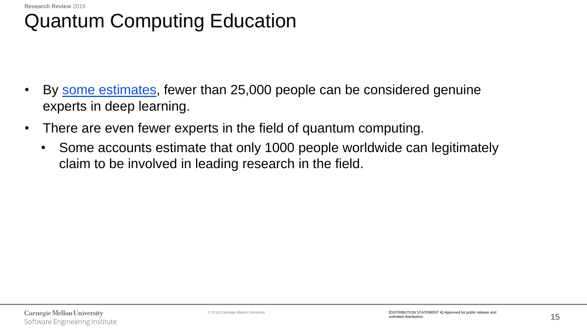### Quantum Computing Education

- By [some estimates,](https://www.nytimes.com/2018/04/19/technology/artificial-intelligence-salaries-openai.html?module=inline) fewer than 25,000 people can be considered genuine experts in deep learning.
- There are even fewer experts in the field of quantum computing.
	- Some accounts estimate that only 1000 people worldwide can legitimately claim to be involved in leading research in the field.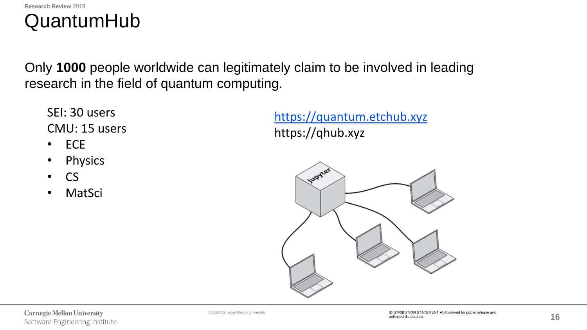

Only **1000** people worldwide can legitimately claim to be involved in leading research in the field of quantum computing.

SEI: 30 users CMU: 15 users

- ECE
- Physics
- CS
- MatSci

[https://quantum.etchub.xyz](https://quantum.etchub.xyz/) https://qhub.xyz